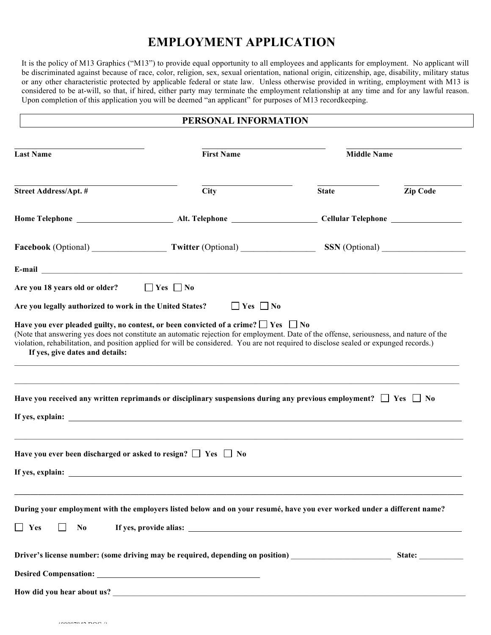## **EMPLOYMENT APPLICATION**

It is the policy of M13 Graphics ("M13") to provide equal opportunity to all employees and applicants for employment. No applicant will be discriminated against because of race, color, religion, sex, sexual orientation, national origin, citizenship, age, disability, military status or any other characteristic protected by applicable federal or state law. Unless otherwise provided in writing, employment with M13 is considered to be at-will, so that, if hired, either party may terminate the employment relationship at any time and for any lawful reason. Upon completion of this application you will be deemed "an applicant" for purposes of M13 recordkeeping.

## **PERSONAL INFORMATION**

| <b>Last Name</b>                                                       | <b>First Name</b>                                                                                                                                                                                                                                                                                                                                                                | <b>Middle Name</b> |                 |  |
|------------------------------------------------------------------------|----------------------------------------------------------------------------------------------------------------------------------------------------------------------------------------------------------------------------------------------------------------------------------------------------------------------------------------------------------------------------------|--------------------|-----------------|--|
| <b>Street Address/Apt. #</b>                                           | <b>City</b>                                                                                                                                                                                                                                                                                                                                                                      | <b>State</b>       | <b>Zip Code</b> |  |
|                                                                        |                                                                                                                                                                                                                                                                                                                                                                                  |                    |                 |  |
|                                                                        |                                                                                                                                                                                                                                                                                                                                                                                  |                    |                 |  |
|                                                                        |                                                                                                                                                                                                                                                                                                                                                                                  |                    |                 |  |
| Are you 18 years old or older?                                         | $\Box$ Yes $\Box$ No                                                                                                                                                                                                                                                                                                                                                             |                    |                 |  |
| Are you legally authorized to work in the United States?               | $\Box$ Yes $\Box$ No                                                                                                                                                                                                                                                                                                                                                             |                    |                 |  |
| If yes, give dates and details:                                        | Have you ever pleaded guilty, no contest, or been convicted of a crime? $\Box$ Yes $\Box$ No<br>(Note that answering yes does not constitute an automatic rejection for employment. Date of the offense, seriousness, and nature of the<br>violation, rehabilitation, and position applied for will be considered. You are not required to disclose sealed or expunged records.) |                    |                 |  |
|                                                                        | Have you received any written reprimands or disciplinary suspensions during any previous employment? $\square$ Yes $\square$ No                                                                                                                                                                                                                                                  |                    |                 |  |
| Have you ever been discharged or asked to resign? $\Box$ Yes $\Box$ No |                                                                                                                                                                                                                                                                                                                                                                                  |                    |                 |  |
|                                                                        | If yes, explain:                                                                                                                                                                                                                                                                                                                                                                 |                    |                 |  |
|                                                                        | During your employment with the employers listed below and on your resumé, have you ever worked under a different name?                                                                                                                                                                                                                                                          |                    |                 |  |
| $\Box$ Yes<br>N <sub>0</sub>                                           |                                                                                                                                                                                                                                                                                                                                                                                  |                    |                 |  |
|                                                                        | Driver's license number: (some driving may be required, depending on position) ____________________                                                                                                                                                                                                                                                                              |                    | State:          |  |
|                                                                        |                                                                                                                                                                                                                                                                                                                                                                                  |                    |                 |  |
|                                                                        |                                                                                                                                                                                                                                                                                                                                                                                  |                    |                 |  |